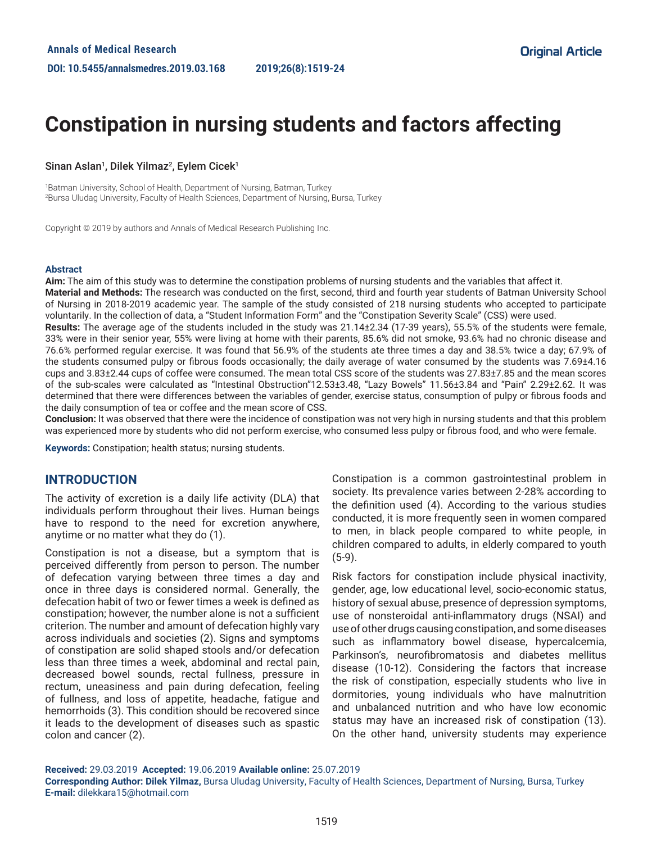# **Constipation in nursing students and factors affecting**

## Sinan Aslan<sup>1</sup>, Dilek Yilmaz<sup>2</sup>, Eylem Cicek<sup>1</sup>

1 Batman University, School of Health, Department of Nursing, Batman, Turkey 2 Bursa Uludag University, Faculty of Health Sciences, Department of Nursing, Bursa, Turkey

Copyright © 2019 by authors and Annals of Medical Research Publishing Inc.

#### **Abstract**

**Aim:** The aim of this study was to determine the constipation problems of nursing students and the variables that affect it.

**Material and Methods:** The research was conducted on the first, second, third and fourth year students of Batman University School of Nursing in 2018-2019 academic year. The sample of the study consisted of 218 nursing students who accepted to participate voluntarily. In the collection of data, a "Student Information Form" and the "Constipation Severity Scale" (CSS) were used.

**Results:** The average age of the students included in the study was 21.14±2.34 (17-39 years), 55.5% of the students were female, 33% were in their senior year, 55% were living at home with their parents, 85.6% did not smoke, 93.6% had no chronic disease and 76.6% performed regular exercise. It was found that 56.9% of the students ate three times a day and 38.5% twice a day; 67.9% of the students consumed pulpy or fibrous foods occasionally; the daily average of water consumed by the students was 7.69±4.16 cups and 3.83±2.44 cups of coffee were consumed. The mean total CSS score of the students was 27.83±7.85 and the mean scores of the sub-scales were calculated as "Intestinal Obstruction"12.53±3.48, "Lazy Bowels" 11.56±3.84 and "Pain" 2.29±2.62. It was determined that there were differences between the variables of gender, exercise status, consumption of pulpy or fibrous foods and the daily consumption of tea or coffee and the mean score of CSS.

**Conclusion:** It was observed that there were the incidence of constipation was not very high in nursing students and that this problem was experienced more by students who did not perform exercise, who consumed less pulpy or fibrous food, and who were female.

**Keywords:** Constipation; health status; nursing students.

## **INTRODUCTION**

The activity of excretion is a daily life activity (DLA) that individuals perform throughout their lives. Human beings have to respond to the need for excretion anywhere, anytime or no matter what they do (1).

Constipation is not a disease, but a symptom that is perceived differently from person to person. The number of defecation varying between three times a day and once in three days is considered normal. Generally, the defecation habit of two or fewer times a week is defined as constipation; however, the number alone is not a sufficient criterion. The number and amount of defecation highly vary across individuals and societies (2). Signs and symptoms of constipation are solid shaped stools and/or defecation less than three times a week, abdominal and rectal pain, decreased bowel sounds, rectal fullness, pressure in rectum, uneasiness and pain during defecation, feeling of fullness, and loss of appetite, headache, fatigue and hemorrhoids (3). This condition should be recovered since it leads to the development of diseases such as spastic colon and cancer (2).

Constipation is a common gastrointestinal problem in society. Its prevalence varies between 2-28% according to the definition used (4). According to the various studies conducted, it is more frequently seen in women compared to men, in black people compared to white people, in children compared to adults, in elderly compared to youth (5-9).

Risk factors for constipation include physical inactivity, gender, age, low educational level, socio-economic status, history of sexual abuse, presence of depression symptoms, use of nonsteroidal anti-inflammatory drugs (NSAI) and use of other drugs causing constipation, and some diseases such as inflammatory bowel disease, hypercalcemia, Parkinson's, neurofibromatosis and diabetes mellitus disease (10-12). Considering the factors that increase the risk of constipation, especially students who live in dormitories, young individuals who have malnutrition and unbalanced nutrition and who have low economic status may have an increased risk of constipation (13). On the other hand, university students may experience

**Received:** 29.03.2019 **Accepted:** 19.06.2019 **Available online:** 25.07.2019

**Corresponding Author: Dilek Yilmaz,** Bursa Uludag University, Faculty of Health Sciences, Department of Nursing, Bursa, Turkey **E-mail:** dilekkara15@hotmail.com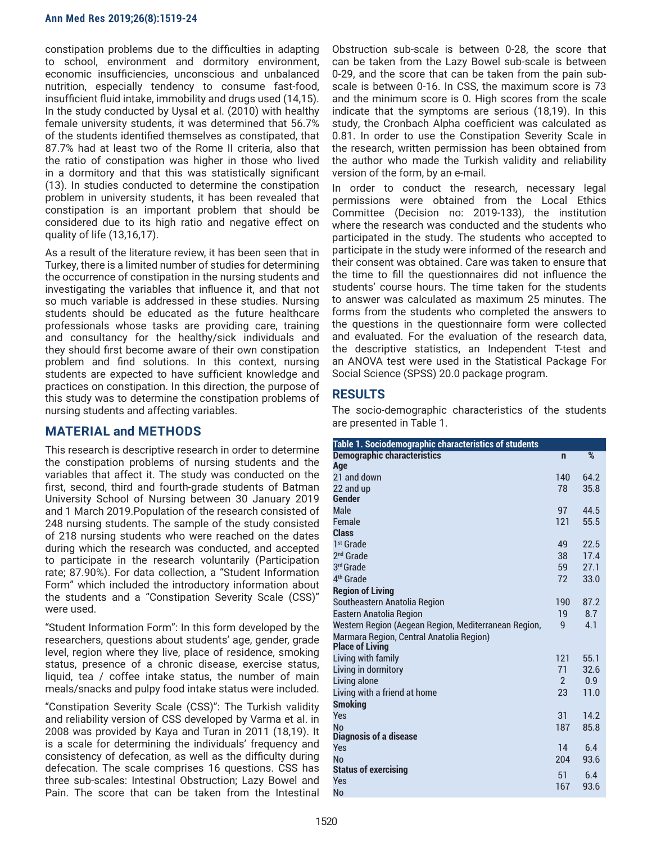constipation problems due to the difficulties in adapting to school, environment and dormitory environment, economic insufficiencies, unconscious and unbalanced nutrition, especially tendency to consume fast-food, insufficient fluid intake, immobility and drugs used (14,15). In the study conducted by Uysal et al. (2010) with healthy female university students, it was determined that 56.7% of the students identified themselves as constipated, that 87.7% had at least two of the Rome II criteria, also that the ratio of constipation was higher in those who lived in a dormitory and that this was statistically significant (13). In studies conducted to determine the constipation problem in university students, it has been revealed that constipation is an important problem that should be considered due to its high ratio and negative effect on quality of life (13,16,17).

As a result of the literature review, it has been seen that in Turkey, there is a limited number of studies for determining the occurrence of constipation in the nursing students and investigating the variables that influence it, and that not so much variable is addressed in these studies. Nursing students should be educated as the future healthcare professionals whose tasks are providing care, training and consultancy for the healthy/sick individuals and they should first become aware of their own constipation problem and find solutions. In this context, nursing students are expected to have sufficient knowledge and practices on constipation. In this direction, the purpose of this study was to determine the constipation problems of nursing students and affecting variables.

## **MATERIAL and METHODS**

This research is descriptive research in order to determine the constipation problems of nursing students and the variables that affect it. The study was conducted on the first, second, third and fourth-grade students of Batman University School of Nursing between 30 January 2019 and 1 March 2019.Population of the research consisted of 248 nursing students. The sample of the study consisted of 218 nursing students who were reached on the dates during which the research was conducted, and accepted to participate in the research voluntarily (Participation rate; 87.90%). For data collection, a "Student Information Form" which included the introductory information about the students and a "Constipation Severity Scale (CSS)" were used.

"Student Information Form": In this form developed by the researchers, questions about students' age, gender, grade level, region where they live, place of residence, smoking status, presence of a chronic disease, exercise status, liquid, tea / coffee intake status, the number of main meals/snacks and pulpy food intake status were included.

"Constipation Severity Scale (CSS)": The Turkish validity and reliability version of CSS developed by Varma et al. in 2008 was provided by Kaya and Turan in 2011 (18,19). It is a scale for determining the individuals' frequency and consistency of defecation, as well as the difficulty during defecation. The scale comprises 16 questions. CSS has three sub-scales: Intestinal Obstruction; Lazy Bowel and Pain. The score that can be taken from the Intestinal

Obstruction sub-scale is between 0-28, the score that can be taken from the Lazy Bowel sub-scale is between 0-29, and the score that can be taken from the pain subscale is between 0-16. In CSS, the maximum score is 73 and the minimum score is 0. High scores from the scale indicate that the symptoms are serious (18,19). In this study, the Cronbach Alpha coefficient was calculated as 0.81. In order to use the Constipation Severity Scale in the research, written permission has been obtained from the author who made the Turkish validity and reliability version of the form, by an e-mail.

In order to conduct the research, necessary legal permissions were obtained from the Local Ethics Committee (Decision no: 2019-133), the institution where the research was conducted and the students who participated in the study. The students who accepted to participate in the study were informed of the research and their consent was obtained. Care was taken to ensure that the time to fill the questionnaires did not influence the students' course hours. The time taken for the students to answer was calculated as maximum 25 minutes. The forms from the students who completed the answers to the questions in the questionnaire form were collected and evaluated. For the evaluation of the research data, the descriptive statistics, an Independent T-test and an ANOVA test were used in the Statistical Package For Social Science (SPSS) 20.0 package program.

# **RESULTS**

The socio-demographic characteristics of the students are presented in Table 1.

| Table 1. Sociodemographic characteristics of students              |                |               |  |  |  |
|--------------------------------------------------------------------|----------------|---------------|--|--|--|
| <b>Demographic characteristics</b>                                 | $\mathbf n$    | $\frac{9}{6}$ |  |  |  |
| Age                                                                |                |               |  |  |  |
| 21 and down                                                        | 140            | 64.2          |  |  |  |
| 22 and up                                                          | 78             | 35.8          |  |  |  |
| Gender                                                             |                |               |  |  |  |
| Male                                                               | 97             | 44.5          |  |  |  |
| Female                                                             | 121            | 55.5          |  |  |  |
| <b>Class</b>                                                       |                |               |  |  |  |
| 1 <sup>st</sup> Grade                                              | 49             | 22.5          |  |  |  |
| $2nd$ Grade                                                        | 38             | 17.4          |  |  |  |
| 3rd Grade                                                          | 59             | 27.1          |  |  |  |
| 4 <sup>th</sup> Grade                                              | 72             | 33.0          |  |  |  |
| <b>Region of Living</b>                                            |                |               |  |  |  |
| Southeastern Anatolia Region                                       | 190            | 87.2          |  |  |  |
| <b>Eastern Anatolia Region</b>                                     | 19             | 8.7           |  |  |  |
| Western Region (Aegean Region, Mediterranean Region,               | 9              | 4.1           |  |  |  |
| Marmara Region, Central Anatolia Region)<br><b>Place of Living</b> |                |               |  |  |  |
| Living with family                                                 | 121            | 55.1          |  |  |  |
| Living in dormitory                                                | 71             | 32.6          |  |  |  |
| Living alone                                                       | $\mathfrak{p}$ | 0.9           |  |  |  |
| Living with a friend at home                                       | 23             | 11.0          |  |  |  |
| <b>Smoking</b>                                                     |                |               |  |  |  |
| Yes                                                                | 31             | 14.2          |  |  |  |
| <b>No</b>                                                          | 187            | 85.8          |  |  |  |
| Diagnosis of a disease                                             |                |               |  |  |  |
| Yes                                                                | 14             | 6.4           |  |  |  |
| <b>No</b>                                                          | 204            | 93.6          |  |  |  |
| <b>Status of exercising</b>                                        | 51             | 6.4           |  |  |  |
| <b>Yes</b>                                                         | 167            | 93.6          |  |  |  |
| <b>No</b>                                                          |                |               |  |  |  |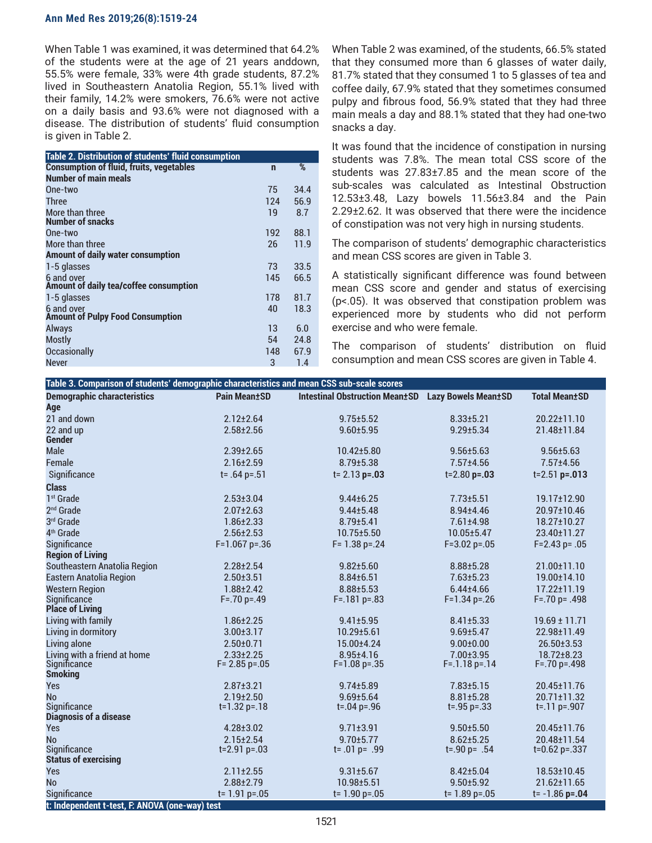When Table 1 was examined, it was determined that 64.2% of the students were at the age of 21 years anddown, 55.5% were female, 33% were 4th grade students, 87.2% lived in Southeastern Anatolia Region, 55.1% lived with their family, 14.2% were smokers, 76.6% were not active on a daily basis and 93.6% were not diagnosed with a disease. The distribution of students' fluid consumption is given in Table 2.

| Table 2. Distribution of students' fluid consumption  |             |      |
|-------------------------------------------------------|-------------|------|
| <b>Consumption of fluid, fruits, vegetables</b>       | $\mathbf n$ | %    |
| <b>Number of main meals</b>                           |             |      |
| One-two                                               | 75          | 34.4 |
| <b>Three</b>                                          | 124         | 56.9 |
| More than three<br><b>Number of snacks</b>            | 19          | 8.7  |
| One-two                                               | 192         | 88.1 |
| More than three                                       | 26          | 11.9 |
| Amount of daily water consumption                     |             |      |
| 1-5 glasses                                           | 73          | 33.5 |
| 6 and over<br>Amount of daily tea/coffee consumption  | 145         | 66.5 |
| 1-5 glasses                                           | 178         | 81.7 |
| 6 and over<br><b>Amount of Pulpy Food Consumption</b> | 40          | 18.3 |
| <b>Always</b>                                         | 13          | 6.0  |
| <b>Mostly</b>                                         | 54          | 24.8 |
| <b>Occasionally</b>                                   | 148         | 67.9 |
| <b>Never</b>                                          | 3           | 1.4  |

When Table 2 was examined, of the students, 66.5% stated that they consumed more than 6 glasses of water daily, 81.7% stated that they consumed 1 to 5 glasses of tea and coffee daily, 67.9% stated that they sometimes consumed pulpy and fibrous food, 56.9% stated that they had three main meals a day and 88.1% stated that they had one-two snacks a day.

It was found that the incidence of constipation in nursing students was 7.8%. The mean total CSS score of the students was 27.83±7.85 and the mean score of the sub-scales was calculated as Intestinal Obstruction 12.53±3.48, Lazy bowels 11.56±3.84 and the Pain 2.29±2.62. It was observed that there were the incidence of constipation was not very high in nursing students.

The comparison of students' demographic characteristics and mean CSS scores are given in Table 3.

A statistically significant difference was found between mean CSS score and gender and status of exercising (p<.05). It was observed that constipation problem was experienced more by students who did not perform exercise and who were female.

The comparison of students' distribution on fluid consumption and mean CSS scores are given in Table 4.

| <b>Demographic characteristics</b><br><b>Pain Mean±SD</b><br><b>Intestinal Obstruction Mean±SD</b><br><b>Lazy Bowels Mean±SD</b><br><b>Total Mean±SD</b><br>Age<br>21 and down<br>$2.12 \pm 2.64$<br>$9.75 \pm 5.52$<br>$8.33 \pm 5.21$<br>$20.22 \pm 11.10$<br>22 and up<br>$2.58 \pm 2.56$<br>$9.60 + 5.95$<br>$9.29 \pm 5.34$<br>21.48±11.84<br><b>Gender</b><br>Male<br>$2.39 \pm 2.65$<br>10.42±5.80<br>$9.56 \pm 5.63$<br>$9.56 \pm 5.63$<br>Female<br>$2.16 \pm 2.59$<br>$8.79 \pm 5.38$<br>$7.57 \pm 4.56$<br>$7.57 \pm 4.56$<br>Significance<br>$t = .64 p = .51$<br>$t = 2.13$ p=.03<br>$t = 2.80$ p=.03<br>$t = 2.51$ p=.013<br><b>Class</b><br>1 <sup>st</sup> Grade<br>$2.53 \pm 3.04$<br>$7.73 \pm 5.51$<br>19.17±12.90<br>$9.44 \pm 6.25$<br>2 <sup>nd</sup> Grade<br>$2.07 \pm 2.63$<br>$9.44 \pm 5.48$<br>$8.94 \pm 4.46$<br>20.97±10.46<br>3rd Grade<br>$1.86 \pm 2.33$<br>$8.79 \pm 5.41$<br>7.61±4.98<br>18.27±10.27<br>4 <sup>th</sup> Grade<br>$2.56 \pm 2.53$<br>10.75±5.50<br>10.05±5.47<br>23.40±11.27<br>Significance<br>$F=1.067$ p=.36<br>$F = 1.38$ p=.24<br>$F = 3.02$ p=.05<br>$F = 2.43 p = .05$<br><b>Region of Living</b><br>Southeastern Anatolia Region<br>$2.28 \pm 2.54$<br>$9.82 \pm 5.60$<br>8.88±5.28<br>21.00±11.10<br><b>Eastern Anatolia Region</b><br>$7.63 \pm 5.23$<br>$2.50 \pm 3.51$<br>$8.84 \pm 6.51$<br>19.00±14.10<br><b>Western Region</b><br>$1.88 \pm 2.42$<br>$8.88 \pm 5.53$<br>$6.44 \pm 4.66$<br>$17.22 \pm 11.19$<br>Significance<br>$F = 70 p = 49$<br>$F = 70 p = 0.498$<br>$F = 181 p = 83$<br>$F=1.34$ p=.26<br><b>Place of Living</b><br>Living with family<br>$1.86 \pm 2.25$<br>$9.41 \pm 5.95$<br>$8.41 \pm 5.33$<br>$19.69 \pm 11.71$<br>Living in dormitory<br>$3.00 \pm 3.17$<br>$10.29 \pm 5.61$<br>$9.69 \pm 5.47$<br>22.98±11.49<br>Living alone<br>$2.50 \pm 0.71$<br>15.00±4.24<br>$9.00 \pm 0.00$<br>26.50±3.53<br>Living with a friend at home<br>$2.33 \pm 2.25$<br>8.95±4.16<br>7.00±3.95<br>18.72±8.23<br>Significance<br>$F = 2.85 p = .05$<br>$F = 1.18 p = 14$<br>$F=1.08$ p=.35<br>$F = 70 p = 498$<br><b>Smoking</b><br>Yes<br>$2.87 \pm 3.21$<br>$9.74 \pm 5.89$<br>$7.83 \pm 5.15$<br>20.45±11.76<br>No<br>$2.19 \pm 2.50$<br>$9.69 \pm 5.64$<br>$8.81 \pm 5.28$<br>$20.71 \pm 11.32$<br>Significance<br>$t=1.32 p=.18$<br>$t = 0.04$ p= 0.96<br>$t = 0.95$ p= 0.33<br>$t = 11 p = 907$<br><b>Diagnosis of a disease</b><br>Yes<br>$4.28 \pm 3.02$<br>$9.71 \pm 3.91$<br>$9.50 \pm 5.50$<br>20.45±11.76<br>$2.15 \pm 2.54$<br>$8.62 \pm 5.25$<br><b>No</b><br>$9.70 + 5.77$<br>20.48±11.54<br><b>Significance</b><br>$t = 2.91 p = .03$<br>t= $.01$ p= $.99$<br>$t = .90 p = .54$<br>$t=0.62$ p=.337<br><b>Status of exercising</b><br>Yes<br>18.53±10.45<br>$2.11 \pm 2.55$<br>$9.31 \pm 5.67$<br>$8.42 \pm 5.04$<br>$2.88 \pm 2.79$<br><b>No</b><br>$10.98 \pm 5.51$<br>$9.50 \pm 5.92$<br>$21.62 \pm 11.65$ | Table 3. Comparison of students' demographic characteristics and mean CSS sub-scale scores |                    |                    |                  |                   |  |
|---------------------------------------------------------------------------------------------------------------------------------------------------------------------------------------------------------------------------------------------------------------------------------------------------------------------------------------------------------------------------------------------------------------------------------------------------------------------------------------------------------------------------------------------------------------------------------------------------------------------------------------------------------------------------------------------------------------------------------------------------------------------------------------------------------------------------------------------------------------------------------------------------------------------------------------------------------------------------------------------------------------------------------------------------------------------------------------------------------------------------------------------------------------------------------------------------------------------------------------------------------------------------------------------------------------------------------------------------------------------------------------------------------------------------------------------------------------------------------------------------------------------------------------------------------------------------------------------------------------------------------------------------------------------------------------------------------------------------------------------------------------------------------------------------------------------------------------------------------------------------------------------------------------------------------------------------------------------------------------------------------------------------------------------------------------------------------------------------------------------------------------------------------------------------------------------------------------------------------------------------------------------------------------------------------------------------------------------------------------------------------------------------------------------------------------------------------------------------------------------------------------------------------------------------------------------------------------------------------------------------------------------------------------------------------------------------------------------------------------------------------------------------------------------------------------------------------------------------------------------------------------------------------|--------------------------------------------------------------------------------------------|--------------------|--------------------|------------------|-------------------|--|
|                                                                                                                                                                                                                                                                                                                                                                                                                                                                                                                                                                                                                                                                                                                                                                                                                                                                                                                                                                                                                                                                                                                                                                                                                                                                                                                                                                                                                                                                                                                                                                                                                                                                                                                                                                                                                                                                                                                                                                                                                                                                                                                                                                                                                                                                                                                                                                                                                                                                                                                                                                                                                                                                                                                                                                                                                                                                                                         |                                                                                            |                    |                    |                  |                   |  |
|                                                                                                                                                                                                                                                                                                                                                                                                                                                                                                                                                                                                                                                                                                                                                                                                                                                                                                                                                                                                                                                                                                                                                                                                                                                                                                                                                                                                                                                                                                                                                                                                                                                                                                                                                                                                                                                                                                                                                                                                                                                                                                                                                                                                                                                                                                                                                                                                                                                                                                                                                                                                                                                                                                                                                                                                                                                                                                         |                                                                                            |                    |                    |                  |                   |  |
|                                                                                                                                                                                                                                                                                                                                                                                                                                                                                                                                                                                                                                                                                                                                                                                                                                                                                                                                                                                                                                                                                                                                                                                                                                                                                                                                                                                                                                                                                                                                                                                                                                                                                                                                                                                                                                                                                                                                                                                                                                                                                                                                                                                                                                                                                                                                                                                                                                                                                                                                                                                                                                                                                                                                                                                                                                                                                                         |                                                                                            |                    |                    |                  |                   |  |
|                                                                                                                                                                                                                                                                                                                                                                                                                                                                                                                                                                                                                                                                                                                                                                                                                                                                                                                                                                                                                                                                                                                                                                                                                                                                                                                                                                                                                                                                                                                                                                                                                                                                                                                                                                                                                                                                                                                                                                                                                                                                                                                                                                                                                                                                                                                                                                                                                                                                                                                                                                                                                                                                                                                                                                                                                                                                                                         |                                                                                            |                    |                    |                  |                   |  |
|                                                                                                                                                                                                                                                                                                                                                                                                                                                                                                                                                                                                                                                                                                                                                                                                                                                                                                                                                                                                                                                                                                                                                                                                                                                                                                                                                                                                                                                                                                                                                                                                                                                                                                                                                                                                                                                                                                                                                                                                                                                                                                                                                                                                                                                                                                                                                                                                                                                                                                                                                                                                                                                                                                                                                                                                                                                                                                         |                                                                                            |                    |                    |                  |                   |  |
|                                                                                                                                                                                                                                                                                                                                                                                                                                                                                                                                                                                                                                                                                                                                                                                                                                                                                                                                                                                                                                                                                                                                                                                                                                                                                                                                                                                                                                                                                                                                                                                                                                                                                                                                                                                                                                                                                                                                                                                                                                                                                                                                                                                                                                                                                                                                                                                                                                                                                                                                                                                                                                                                                                                                                                                                                                                                                                         |                                                                                            |                    |                    |                  |                   |  |
|                                                                                                                                                                                                                                                                                                                                                                                                                                                                                                                                                                                                                                                                                                                                                                                                                                                                                                                                                                                                                                                                                                                                                                                                                                                                                                                                                                                                                                                                                                                                                                                                                                                                                                                                                                                                                                                                                                                                                                                                                                                                                                                                                                                                                                                                                                                                                                                                                                                                                                                                                                                                                                                                                                                                                                                                                                                                                                         |                                                                                            |                    |                    |                  |                   |  |
|                                                                                                                                                                                                                                                                                                                                                                                                                                                                                                                                                                                                                                                                                                                                                                                                                                                                                                                                                                                                                                                                                                                                                                                                                                                                                                                                                                                                                                                                                                                                                                                                                                                                                                                                                                                                                                                                                                                                                                                                                                                                                                                                                                                                                                                                                                                                                                                                                                                                                                                                                                                                                                                                                                                                                                                                                                                                                                         |                                                                                            |                    |                    |                  |                   |  |
|                                                                                                                                                                                                                                                                                                                                                                                                                                                                                                                                                                                                                                                                                                                                                                                                                                                                                                                                                                                                                                                                                                                                                                                                                                                                                                                                                                                                                                                                                                                                                                                                                                                                                                                                                                                                                                                                                                                                                                                                                                                                                                                                                                                                                                                                                                                                                                                                                                                                                                                                                                                                                                                                                                                                                                                                                                                                                                         |                                                                                            |                    |                    |                  |                   |  |
|                                                                                                                                                                                                                                                                                                                                                                                                                                                                                                                                                                                                                                                                                                                                                                                                                                                                                                                                                                                                                                                                                                                                                                                                                                                                                                                                                                                                                                                                                                                                                                                                                                                                                                                                                                                                                                                                                                                                                                                                                                                                                                                                                                                                                                                                                                                                                                                                                                                                                                                                                                                                                                                                                                                                                                                                                                                                                                         |                                                                                            |                    |                    |                  |                   |  |
|                                                                                                                                                                                                                                                                                                                                                                                                                                                                                                                                                                                                                                                                                                                                                                                                                                                                                                                                                                                                                                                                                                                                                                                                                                                                                                                                                                                                                                                                                                                                                                                                                                                                                                                                                                                                                                                                                                                                                                                                                                                                                                                                                                                                                                                                                                                                                                                                                                                                                                                                                                                                                                                                                                                                                                                                                                                                                                         |                                                                                            |                    |                    |                  |                   |  |
|                                                                                                                                                                                                                                                                                                                                                                                                                                                                                                                                                                                                                                                                                                                                                                                                                                                                                                                                                                                                                                                                                                                                                                                                                                                                                                                                                                                                                                                                                                                                                                                                                                                                                                                                                                                                                                                                                                                                                                                                                                                                                                                                                                                                                                                                                                                                                                                                                                                                                                                                                                                                                                                                                                                                                                                                                                                                                                         |                                                                                            |                    |                    |                  |                   |  |
|                                                                                                                                                                                                                                                                                                                                                                                                                                                                                                                                                                                                                                                                                                                                                                                                                                                                                                                                                                                                                                                                                                                                                                                                                                                                                                                                                                                                                                                                                                                                                                                                                                                                                                                                                                                                                                                                                                                                                                                                                                                                                                                                                                                                                                                                                                                                                                                                                                                                                                                                                                                                                                                                                                                                                                                                                                                                                                         |                                                                                            |                    |                    |                  |                   |  |
|                                                                                                                                                                                                                                                                                                                                                                                                                                                                                                                                                                                                                                                                                                                                                                                                                                                                                                                                                                                                                                                                                                                                                                                                                                                                                                                                                                                                                                                                                                                                                                                                                                                                                                                                                                                                                                                                                                                                                                                                                                                                                                                                                                                                                                                                                                                                                                                                                                                                                                                                                                                                                                                                                                                                                                                                                                                                                                         |                                                                                            |                    |                    |                  |                   |  |
|                                                                                                                                                                                                                                                                                                                                                                                                                                                                                                                                                                                                                                                                                                                                                                                                                                                                                                                                                                                                                                                                                                                                                                                                                                                                                                                                                                                                                                                                                                                                                                                                                                                                                                                                                                                                                                                                                                                                                                                                                                                                                                                                                                                                                                                                                                                                                                                                                                                                                                                                                                                                                                                                                                                                                                                                                                                                                                         |                                                                                            |                    |                    |                  |                   |  |
|                                                                                                                                                                                                                                                                                                                                                                                                                                                                                                                                                                                                                                                                                                                                                                                                                                                                                                                                                                                                                                                                                                                                                                                                                                                                                                                                                                                                                                                                                                                                                                                                                                                                                                                                                                                                                                                                                                                                                                                                                                                                                                                                                                                                                                                                                                                                                                                                                                                                                                                                                                                                                                                                                                                                                                                                                                                                                                         |                                                                                            |                    |                    |                  |                   |  |
|                                                                                                                                                                                                                                                                                                                                                                                                                                                                                                                                                                                                                                                                                                                                                                                                                                                                                                                                                                                                                                                                                                                                                                                                                                                                                                                                                                                                                                                                                                                                                                                                                                                                                                                                                                                                                                                                                                                                                                                                                                                                                                                                                                                                                                                                                                                                                                                                                                                                                                                                                                                                                                                                                                                                                                                                                                                                                                         |                                                                                            |                    |                    |                  |                   |  |
|                                                                                                                                                                                                                                                                                                                                                                                                                                                                                                                                                                                                                                                                                                                                                                                                                                                                                                                                                                                                                                                                                                                                                                                                                                                                                                                                                                                                                                                                                                                                                                                                                                                                                                                                                                                                                                                                                                                                                                                                                                                                                                                                                                                                                                                                                                                                                                                                                                                                                                                                                                                                                                                                                                                                                                                                                                                                                                         |                                                                                            |                    |                    |                  |                   |  |
|                                                                                                                                                                                                                                                                                                                                                                                                                                                                                                                                                                                                                                                                                                                                                                                                                                                                                                                                                                                                                                                                                                                                                                                                                                                                                                                                                                                                                                                                                                                                                                                                                                                                                                                                                                                                                                                                                                                                                                                                                                                                                                                                                                                                                                                                                                                                                                                                                                                                                                                                                                                                                                                                                                                                                                                                                                                                                                         |                                                                                            |                    |                    |                  |                   |  |
|                                                                                                                                                                                                                                                                                                                                                                                                                                                                                                                                                                                                                                                                                                                                                                                                                                                                                                                                                                                                                                                                                                                                                                                                                                                                                                                                                                                                                                                                                                                                                                                                                                                                                                                                                                                                                                                                                                                                                                                                                                                                                                                                                                                                                                                                                                                                                                                                                                                                                                                                                                                                                                                                                                                                                                                                                                                                                                         |                                                                                            |                    |                    |                  |                   |  |
|                                                                                                                                                                                                                                                                                                                                                                                                                                                                                                                                                                                                                                                                                                                                                                                                                                                                                                                                                                                                                                                                                                                                                                                                                                                                                                                                                                                                                                                                                                                                                                                                                                                                                                                                                                                                                                                                                                                                                                                                                                                                                                                                                                                                                                                                                                                                                                                                                                                                                                                                                                                                                                                                                                                                                                                                                                                                                                         |                                                                                            |                    |                    |                  |                   |  |
|                                                                                                                                                                                                                                                                                                                                                                                                                                                                                                                                                                                                                                                                                                                                                                                                                                                                                                                                                                                                                                                                                                                                                                                                                                                                                                                                                                                                                                                                                                                                                                                                                                                                                                                                                                                                                                                                                                                                                                                                                                                                                                                                                                                                                                                                                                                                                                                                                                                                                                                                                                                                                                                                                                                                                                                                                                                                                                         |                                                                                            |                    |                    |                  |                   |  |
|                                                                                                                                                                                                                                                                                                                                                                                                                                                                                                                                                                                                                                                                                                                                                                                                                                                                                                                                                                                                                                                                                                                                                                                                                                                                                                                                                                                                                                                                                                                                                                                                                                                                                                                                                                                                                                                                                                                                                                                                                                                                                                                                                                                                                                                                                                                                                                                                                                                                                                                                                                                                                                                                                                                                                                                                                                                                                                         |                                                                                            |                    |                    |                  |                   |  |
|                                                                                                                                                                                                                                                                                                                                                                                                                                                                                                                                                                                                                                                                                                                                                                                                                                                                                                                                                                                                                                                                                                                                                                                                                                                                                                                                                                                                                                                                                                                                                                                                                                                                                                                                                                                                                                                                                                                                                                                                                                                                                                                                                                                                                                                                                                                                                                                                                                                                                                                                                                                                                                                                                                                                                                                                                                                                                                         |                                                                                            |                    |                    |                  |                   |  |
|                                                                                                                                                                                                                                                                                                                                                                                                                                                                                                                                                                                                                                                                                                                                                                                                                                                                                                                                                                                                                                                                                                                                                                                                                                                                                                                                                                                                                                                                                                                                                                                                                                                                                                                                                                                                                                                                                                                                                                                                                                                                                                                                                                                                                                                                                                                                                                                                                                                                                                                                                                                                                                                                                                                                                                                                                                                                                                         |                                                                                            |                    |                    |                  |                   |  |
|                                                                                                                                                                                                                                                                                                                                                                                                                                                                                                                                                                                                                                                                                                                                                                                                                                                                                                                                                                                                                                                                                                                                                                                                                                                                                                                                                                                                                                                                                                                                                                                                                                                                                                                                                                                                                                                                                                                                                                                                                                                                                                                                                                                                                                                                                                                                                                                                                                                                                                                                                                                                                                                                                                                                                                                                                                                                                                         |                                                                                            |                    |                    |                  |                   |  |
|                                                                                                                                                                                                                                                                                                                                                                                                                                                                                                                                                                                                                                                                                                                                                                                                                                                                                                                                                                                                                                                                                                                                                                                                                                                                                                                                                                                                                                                                                                                                                                                                                                                                                                                                                                                                                                                                                                                                                                                                                                                                                                                                                                                                                                                                                                                                                                                                                                                                                                                                                                                                                                                                                                                                                                                                                                                                                                         |                                                                                            |                    |                    |                  |                   |  |
|                                                                                                                                                                                                                                                                                                                                                                                                                                                                                                                                                                                                                                                                                                                                                                                                                                                                                                                                                                                                                                                                                                                                                                                                                                                                                                                                                                                                                                                                                                                                                                                                                                                                                                                                                                                                                                                                                                                                                                                                                                                                                                                                                                                                                                                                                                                                                                                                                                                                                                                                                                                                                                                                                                                                                                                                                                                                                                         |                                                                                            |                    |                    |                  |                   |  |
|                                                                                                                                                                                                                                                                                                                                                                                                                                                                                                                                                                                                                                                                                                                                                                                                                                                                                                                                                                                                                                                                                                                                                                                                                                                                                                                                                                                                                                                                                                                                                                                                                                                                                                                                                                                                                                                                                                                                                                                                                                                                                                                                                                                                                                                                                                                                                                                                                                                                                                                                                                                                                                                                                                                                                                                                                                                                                                         |                                                                                            |                    |                    |                  |                   |  |
|                                                                                                                                                                                                                                                                                                                                                                                                                                                                                                                                                                                                                                                                                                                                                                                                                                                                                                                                                                                                                                                                                                                                                                                                                                                                                                                                                                                                                                                                                                                                                                                                                                                                                                                                                                                                                                                                                                                                                                                                                                                                                                                                                                                                                                                                                                                                                                                                                                                                                                                                                                                                                                                                                                                                                                                                                                                                                                         |                                                                                            |                    |                    |                  |                   |  |
|                                                                                                                                                                                                                                                                                                                                                                                                                                                                                                                                                                                                                                                                                                                                                                                                                                                                                                                                                                                                                                                                                                                                                                                                                                                                                                                                                                                                                                                                                                                                                                                                                                                                                                                                                                                                                                                                                                                                                                                                                                                                                                                                                                                                                                                                                                                                                                                                                                                                                                                                                                                                                                                                                                                                                                                                                                                                                                         |                                                                                            |                    |                    |                  |                   |  |
|                                                                                                                                                                                                                                                                                                                                                                                                                                                                                                                                                                                                                                                                                                                                                                                                                                                                                                                                                                                                                                                                                                                                                                                                                                                                                                                                                                                                                                                                                                                                                                                                                                                                                                                                                                                                                                                                                                                                                                                                                                                                                                                                                                                                                                                                                                                                                                                                                                                                                                                                                                                                                                                                                                                                                                                                                                                                                                         |                                                                                            |                    |                    |                  |                   |  |
|                                                                                                                                                                                                                                                                                                                                                                                                                                                                                                                                                                                                                                                                                                                                                                                                                                                                                                                                                                                                                                                                                                                                                                                                                                                                                                                                                                                                                                                                                                                                                                                                                                                                                                                                                                                                                                                                                                                                                                                                                                                                                                                                                                                                                                                                                                                                                                                                                                                                                                                                                                                                                                                                                                                                                                                                                                                                                                         |                                                                                            |                    |                    |                  |                   |  |
|                                                                                                                                                                                                                                                                                                                                                                                                                                                                                                                                                                                                                                                                                                                                                                                                                                                                                                                                                                                                                                                                                                                                                                                                                                                                                                                                                                                                                                                                                                                                                                                                                                                                                                                                                                                                                                                                                                                                                                                                                                                                                                                                                                                                                                                                                                                                                                                                                                                                                                                                                                                                                                                                                                                                                                                                                                                                                                         |                                                                                            |                    |                    |                  |                   |  |
| t: Independent t-test, F: ANOVA (one-way) test                                                                                                                                                                                                                                                                                                                                                                                                                                                                                                                                                                                                                                                                                                                                                                                                                                                                                                                                                                                                                                                                                                                                                                                                                                                                                                                                                                                                                                                                                                                                                                                                                                                                                                                                                                                                                                                                                                                                                                                                                                                                                                                                                                                                                                                                                                                                                                                                                                                                                                                                                                                                                                                                                                                                                                                                                                                          | Significance                                                                               | $t = 1.91 p = .05$ | $t = 1.90 p = .05$ | $t = 1.89$ p=.05 | $t = -1.86$ p=.04 |  |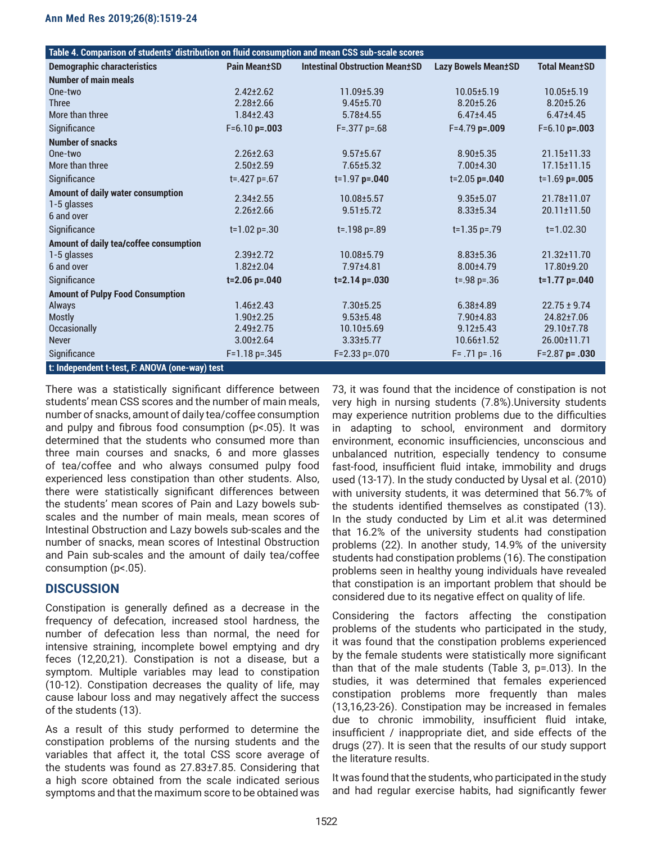| Table 4. Comparison of students' distribution on fluid consumption and mean CSS sub-scale scores |                      |                                       |                            |                      |  |
|--------------------------------------------------------------------------------------------------|----------------------|---------------------------------------|----------------------------|----------------------|--|
| <b>Demographic characteristics</b>                                                               | <b>Pain Mean±SD</b>  | <b>Intestinal Obstruction Mean±SD</b> | <b>Lazy Bowels Mean±SD</b> | <b>Total Mean±SD</b> |  |
| <b>Number of main meals</b>                                                                      |                      |                                       |                            |                      |  |
| One-two                                                                                          | $2.42 \pm 2.62$      | 11.09±5.39                            | $10.05 \pm 5.19$           | $10.05 \pm 5.19$     |  |
| <b>Three</b>                                                                                     | $2.28 \pm 2.66$      | $9.45 + 5.70$                         | $8.20 + 5.26$              | $8.20 + 5.26$        |  |
| More than three                                                                                  | $1.84 \pm 2.43$      | $5.78 + 4.55$                         | $6.47{\pm}4.45$            | $6.47 \pm 4.45$      |  |
| Significance                                                                                     | $F=6.10 p=.003$      | $F = 0.377 p = 0.68$                  | $F=4.79$ p=.009            | $F=6.10 p=.003$      |  |
| <b>Number of snacks</b>                                                                          |                      |                                       |                            |                      |  |
| One-two                                                                                          | $2.26 \pm 2.63$      | $9.57 \pm 5.67$                       | $8.90 + 5.35$              | $21.15 \pm 11.33$    |  |
| More than three                                                                                  | $2.50 \pm 2.59$      | $7.65 \pm 5.32$                       | 7.00±4.30                  | 17.15±11.15          |  |
| Significance                                                                                     | $t = 427 p = 67$     | $t=1.97$ p=.040                       | $t = 2.05$ p=.040          | $t=1.69$ p=.005      |  |
| <b>Amount of daily water consumption</b>                                                         | $2.34 \pm 2.55$      | 10.08±5.57                            | $9.35 + 5.07$              | 21.78±11.07          |  |
| 1-5 glasses                                                                                      | $2.26 \pm 2.66$      | $9.51 \pm 5.72$                       | $8.33 \pm 5.34$            | 20.11±11.50          |  |
| 6 and over                                                                                       |                      |                                       |                            |                      |  |
| Significance                                                                                     | $t=1.02 p=.30$       | t=.198 p=.89                          | $t=1.35 p=.79$             | $t=1.02.30$          |  |
| Amount of daily tea/coffee consumption                                                           |                      |                                       |                            |                      |  |
| 1-5 glasses                                                                                      | $2.39 \pm 2.72$      | 10.08±5.79                            | $8.83 \pm 5.36$            | $21.32 \pm 11.70$    |  |
| 6 and over                                                                                       | $1.82 \pm 2.04$      | $7.97 + 4.81$                         | $8.00 + 4.79$              | 17.80±9.20           |  |
| Significance                                                                                     | $t = 2.06 p = 0.040$ | $t=2.14 p=.030$                       | $t = .98 p = .36$          | $t=1.77$ p=.040      |  |
| <b>Amount of Pulpy Food Consumption</b>                                                          |                      |                                       |                            |                      |  |
| <b>Always</b>                                                                                    | $1.46 \pm 2.43$      | $7.30 + 5.25$                         | $6.38{\pm}4.89$            | $22.75 \pm 9.74$     |  |
| <b>Mostly</b>                                                                                    | $1.90 \pm 2.25$      | $9.53 + 5.48$                         | $7.90 + 4.83$              | 24.82±7.06           |  |
| <b>Occasionally</b>                                                                              | $2.49 \pm 2.75$      | $10.10 \pm 5.69$                      | $9.12 \pm 5.43$            | 29.10±7.78           |  |
| <b>Never</b>                                                                                     | $3.00 \pm 2.64$      | $3.33 \pm 5.77$                       | $10.66 \pm 1.52$           | 26.00±11.71          |  |
| Significance                                                                                     | $F=1.18$ p=.345      | $F=2.33 p=.070$                       | $F = .71$ p= .16           | $F=2.87$ p= .030     |  |
| t: Independent t-test, F: ANOVA (one-way) test                                                   |                      |                                       |                            |                      |  |

There was a statistically significant difference between students' mean CSS scores and the number of main meals, number of snacks, amount of daily tea/coffee consumption and pulpy and fibrous food consumption (p<.05). It was determined that the students who consumed more than three main courses and snacks, 6 and more glasses of tea/coffee and who always consumed pulpy food experienced less constipation than other students. Also, there were statistically significant differences between the students' mean scores of Pain and Lazy bowels subscales and the number of main meals, mean scores of Intestinal Obstruction and Lazy bowels sub-scales and the number of snacks, mean scores of Intestinal Obstruction and Pain sub-scales and the amount of daily tea/coffee consumption (p<.05).

# **DISCUSSION**

Constipation is generally defined as a decrease in the frequency of defecation, increased stool hardness, the number of defecation less than normal, the need for intensive straining, incomplete bowel emptying and dry feces (12,20,21). Constipation is not a disease, but a symptom. Multiple variables may lead to constipation (10-12). Constipation decreases the quality of life, may cause labour loss and may negatively affect the success of the students (13).

As a result of this study performed to determine the constipation problems of the nursing students and the variables that affect it, the total CSS score average of the students was found as 27.83±7.85. Considering that a high score obtained from the scale indicated serious symptoms and that the maximum score to be obtained was

73, it was found that the incidence of constipation is not very high in nursing students (7.8%).University students may experience nutrition problems due to the difficulties in adapting to school, environment and dormitory environment, economic insufficiencies, unconscious and unbalanced nutrition, especially tendency to consume fast-food, insufficient fluid intake, immobility and drugs used (13-17). In the study conducted by Uysal et al. (2010) with university students, it was determined that 56.7% of the students identified themselves as constipated (13). In the study conducted by Lim et al.it was determined that 16.2% of the university students had constipation problems (22). In another study, 14.9% of the university students had constipation problems (16). The constipation problems seen in healthy young individuals have revealed that constipation is an important problem that should be considered due to its negative effect on quality of life.

Considering the factors affecting the constipation problems of the students who participated in the study, it was found that the constipation problems experienced by the female students were statistically more significant than that of the male students (Table 3, p=.013). In the studies, it was determined that females experienced constipation problems more frequently than males (13,16,23-26). Constipation may be increased in females due to chronic immobility, insufficient fluid intake, insufficient / inappropriate diet, and side effects of the drugs (27). It is seen that the results of our study support the literature results.

It was found that the students, who participated in the study and had regular exercise habits, had significantly fewer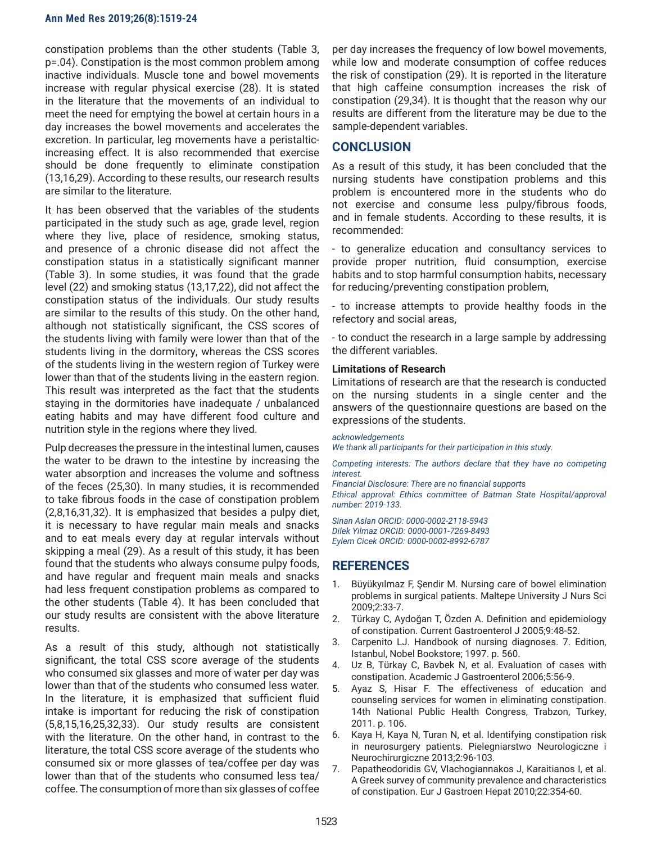constipation problems than the other students (Table 3, p=.04). Constipation is the most common problem among inactive individuals. Muscle tone and bowel movements increase with regular physical exercise (28). It is stated in the literature that the movements of an individual to meet the need for emptying the bowel at certain hours in a day increases the bowel movements and accelerates the excretion. In particular, leg movements have a peristalticincreasing effect. It is also recommended that exercise should be done frequently to eliminate constipation (13,16,29). According to these results, our research results are similar to the literature.

It has been observed that the variables of the students participated in the study such as age, grade level, region where they live, place of residence, smoking status, and presence of a chronic disease did not affect the constipation status in a statistically significant manner (Table 3). In some studies, it was found that the grade level (22) and smoking status (13,17,22), did not affect the constipation status of the individuals. Our study results are similar to the results of this study. On the other hand, although not statistically significant, the CSS scores of the students living with family were lower than that of the students living in the dormitory, whereas the CSS scores of the students living in the western region of Turkey were lower than that of the students living in the eastern region. This result was interpreted as the fact that the students staying in the dormitories have inadequate / unbalanced eating habits and may have different food culture and nutrition style in the regions where they lived.

Pulp decreases the pressure in the intestinal lumen, causes the water to be drawn to the intestine by increasing the water absorption and increases the volume and softness of the feces (25,30). In many studies, it is recommended to take fibrous foods in the case of constipation problem (2,8,16,31,32). It is emphasized that besides a pulpy diet, it is necessary to have regular main meals and snacks and to eat meals every day at regular intervals without skipping a meal (29). As a result of this study, it has been found that the students who always consume pulpy foods, and have regular and frequent main meals and snacks had less frequent constipation problems as compared to the other students (Table 4). It has been concluded that our study results are consistent with the above literature results.

As a result of this study, although not statistically significant, the total CSS score average of the students who consumed six glasses and more of water per day was lower than that of the students who consumed less water. In the literature, it is emphasized that sufficient fluid intake is important for reducing the risk of constipation (5,8,15,16,25,32,33). Our study results are consistent with the literature. On the other hand, in contrast to the literature, the total CSS score average of the students who consumed six or more glasses of tea/coffee per day was lower than that of the students who consumed less tea/ coffee. The consumption of more than six glasses of coffee

per day increases the frequency of low bowel movements, while low and moderate consumption of coffee reduces the risk of constipation (29). It is reported in the literature that high caffeine consumption increases the risk of constipation (29,34). It is thought that the reason why our results are different from the literature may be due to the sample-dependent variables.

# **CONCLUSION**

As a result of this study, it has been concluded that the nursing students have constipation problems and this problem is encountered more in the students who do not exercise and consume less pulpy/fibrous foods, and in female students. According to these results, it is recommended:

- to generalize education and consultancy services to provide proper nutrition, fluid consumption, exercise habits and to stop harmful consumption habits, necessary for reducing/preventing constipation problem,

- to increase attempts to provide healthy foods in the refectory and social areas,

- to conduct the research in a large sample by addressing the different variables.

## **Limitations of Research**

Limitations of research are that the research is conducted on the nursing students in a single center and the answers of the questionnaire questions are based on the expressions of the students.

#### *acknowledgements*

*We thank all participants for their participation in this study.*

*Competing interests: The authors declare that they have no competing interest.* 

*Financial Disclosure: There are no financial supports Ethical approval: Ethics committee of Batman State Hospital/approval number: 2019-133.*

*Sinan Aslan ORCID: 0000-0002-2118-5943 Dilek Yilmaz ORCID: 0000-0001-7269-8493 Eylem Cicek ORCID: 0000-0002-8992-6787*

# **REFERENCES**

- 1. Büyükyılmaz F, Şendir M. Nursing care of bowel elimination problems in surgical patients. Maltepe University J Nurs Sci 2009;2:33-7.
- 2. Türkay C, Aydoğan T, Özden A. Definition and epidemiology of constipation. Current Gastroenterol J 2005;9:48-52.
- 3. Carpenito LJ. Handbook of nursing diagnoses. 7. Edition, Istanbul, Nobel Bookstore; 1997. p. 560.
- 4. Uz B, Türkay C, Bavbek N, et al. Evaluation of cases with constipation. Academic J Gastroenterol 2006;5:56-9.
- 5. Ayaz S, Hisar F. The effectiveness of education and counseling services for women in eliminating constipation. 14th National Public Health Congress, Trabzon, Turkey, 2011. p. 106.
- 6. Kaya H, Kaya N, Turan N, et al. Identifying constipation risk in neurosurgery patients. Pielegniarstwo Neurologiczne i Neurochirurgiczne 2013;2:96-103.
- 7. Papatheodoridis GV, Vlachogiannakos J, Karaitianos I, et al. A Greek survey of community prevalence and characteristics of constipation. Eur J Gastroen Hepat 2010;22:354-60.